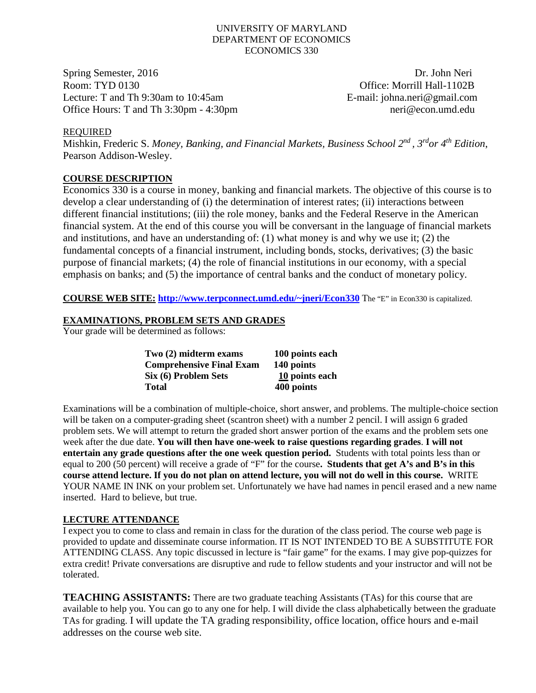#### UNIVERSITY OF MARYLAND DEPARTMENT OF ECONOMICS ECONOMICS 330

Spring Semester, 2016 **Dr. John Neri** Room: TYD 0130 Company Company Company Company Company Company Company Company Company Company Company Company Company Company Company Company Company Company Company Company Company Company Company Company Company Company Lecture: T and Th 9:30am to 10:45am E-mail: johna.neri@gmail.com Office Hours: T and Th 3:30pm - 4:30pm neri @econ.umd.edu

## REQUIRED

Mishkin, Frederic S. *Money, Banking, and Financial Markets, Business School 2nd , 3rdor 4th Edition*, Pearson Addison-Wesley.

# **COURSE DESCRIPTION**

Economics 330 is a course in money, banking and financial markets. The objective of this course is to develop a clear understanding of (i) the determination of interest rates; (ii) interactions between different financial institutions; (iii) the role money, banks and the Federal Reserve in the American financial system. At the end of this course you will be conversant in the language of financial markets and institutions, and have an understanding of: (1) what money is and why we use it; (2) the fundamental concepts of a financial instrument, including bonds, stocks, derivatives; (3) the basic purpose of financial markets; (4) the role of financial institutions in our economy, with a special emphasis on banks; and (5) the importance of central banks and the conduct of monetary policy.

**COURSE WEB SITE: [http://www.terpconnect.umd.edu/~jneri/Econ330](http://www.glue.umd.edu/%7Ejneri/Econ330)** The "E" in Econ330 is capitalized.

## **EXAMINATIONS, PROBLEM SETS AND GRADES**

Your grade will be determined as follows:

| Two (2) midterm exams           | 100 points each |
|---------------------------------|-----------------|
| <b>Comprehensive Final Exam</b> | 140 points      |
| Six (6) Problem Sets            | 10 points each  |
| Total                           | 400 points      |

Examinations will be a combination of multiple-choice, short answer, and problems. The multiple-choice section will be taken on a computer-grading sheet (scantron sheet) with a number 2 pencil. I will assign 6 graded problem sets. We will attempt to return the graded short answer portion of the exams and the problem sets one week after the due date. **You will then have one-week to raise questions regarding grades**. **I will not entertain any grade questions after the one week question period.** Students with total points less than or equal to 200 (50 percent) will receive a grade of "F" for the course**. Students that get A's and B's in this course attend lecture. If you do not plan on attend lecture, you will not do well in this course.** WRITE YOUR NAME IN INK on your problem set. Unfortunately we have had names in pencil erased and a new name inserted. Hard to believe, but true.

#### **LECTURE ATTENDANCE**

I expect you to come to class and remain in class for the duration of the class period. The course web page is provided to update and disseminate course information. IT IS NOT INTENDED TO BE A SUBSTITUTE FOR ATTENDING CLASS. Any topic discussed in lecture is "fair game" for the exams. I may give pop-quizzes for extra credit! Private conversations are disruptive and rude to fellow students and your instructor and will not be tolerated.

**TEACHING ASSISTANTS:** There are two graduate teaching Assistants (TAs) for this course that are available to help you. You can go to any one for help. I will divide the class alphabetically between the graduate TAs for grading. I will update the TA grading responsibility, office location, office hours and e-mail addresses on the course web site.